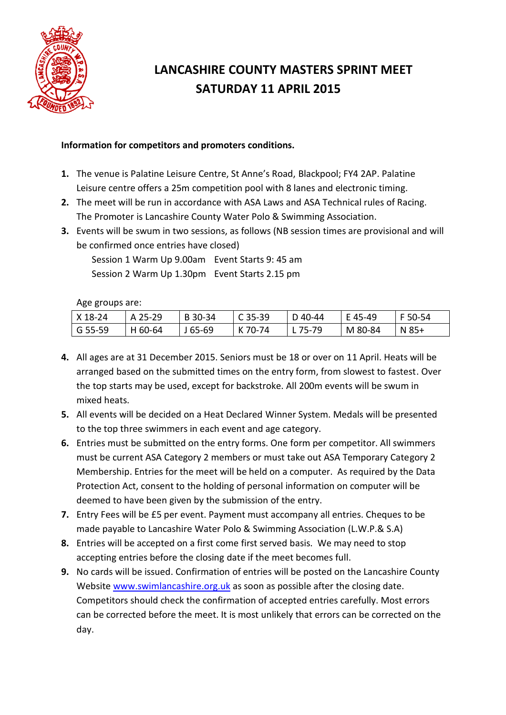

## **LANCASHIRE COUNTY MASTERS SPRINT MEET SATURDAY 11 APRIL 2015**

## **Information for competitors and promoters conditions.**

- **1.** The venue is Palatine Leisure Centre, St Anne's Road, Blackpool; FY4 2AP. Palatine Leisure centre offers a 25m competition pool with 8 lanes and electronic timing.
- **2.** The meet will be run in accordance with ASA Laws and ASA Technical rules of Racing. The Promoter is Lancashire County Water Polo & Swimming Association.
- **3.** Events will be swum in two sessions, as follows (NB session times are provisional and will be confirmed once entries have closed)

Session 1 Warm Up 9.00am Event Starts 9: 45 am Session 2 Warm Up 1.30pm Event Starts 2.15 pm

Age groups are:

| $\vert$ X 18-24 | A 25-29 | $\vert$ B 30-34 | $\mid$ C 35-39 | D 40-44 | E 45-49 | l F 50-54            |
|-----------------|---------|-----------------|----------------|---------|---------|----------------------|
| $\mid$ G 55-59  | H 60-64 | $ $ J 65-69     | l K 70-74      | 1 75-79 | M 80-84 | $\overline{N}$ N 85+ |

- **4.** All ages are at 31 December 2015. Seniors must be 18 or over on 11 April. Heats will be arranged based on the submitted times on the entry form, from slowest to fastest. Over the top starts may be used, except for backstroke. All 200m events will be swum in mixed heats.
- **5.** All events will be decided on a Heat Declared Winner System. Medals will be presented to the top three swimmers in each event and age category.
- **6.** Entries must be submitted on the entry forms. One form per competitor. All swimmers must be current ASA Category 2 members or must take out ASA Temporary Category 2 Membership. Entries for the meet will be held on a computer. As required by the Data Protection Act, consent to the holding of personal information on computer will be deemed to have been given by the submission of the entry.
- **7.** Entry Fees will be £5 per event. Payment must accompany all entries. Cheques to be made payable to Lancashire Water Polo & Swimming Association (L.W.P.& S.A)
- **8.** Entries will be accepted on a first come first served basis. We may need to stop accepting entries before the closing date if the meet becomes full.
- **9.** No cards will be issued. Confirmation of entries will be posted on the Lancashire County Website [www.swimlancashire.org.uk](http://www.swimlancashire.org.uk/) as soon as possible after the closing date. Competitors should check the confirmation of accepted entries carefully. Most errors can be corrected before the meet. It is most unlikely that errors can be corrected on the day.